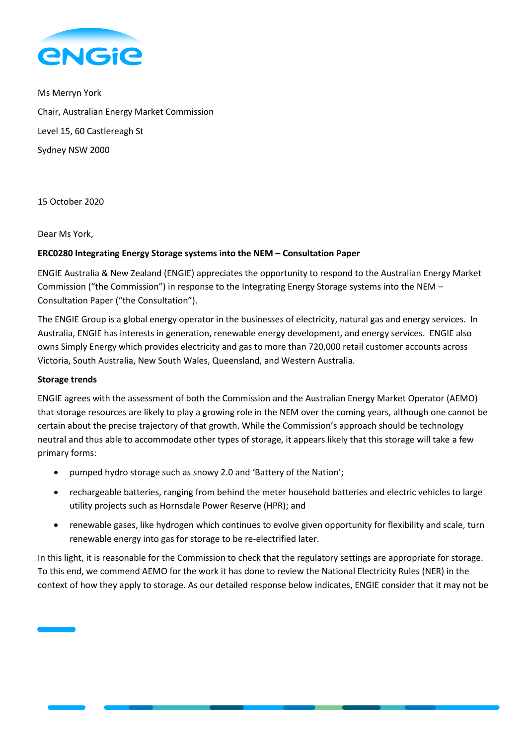

Ms Merryn York Chair, Australian Energy Market Commission Level 15, 60 Castlereagh St Sydney NSW 2000

15 October 2020

# Dear Ms York,

# **ERC0280 Integrating Energy Storage systems into the NEM – Consultation Paper**

ENGIE Australia & New Zealand (ENGIE) appreciates the opportunity to respond to the Australian Energy Market Commission ("the Commission") in response to the Integrating Energy Storage systems into the NEM – Consultation Paper ("the Consultation").

The ENGIE Group is a global energy operator in the businesses of electricity, natural gas and energy services. In Australia, ENGIE has interests in generation, renewable energy development, and energy services. ENGIE also owns Simply Energy which provides electricity and gas to more than 720,000 retail customer accounts across Victoria, South Australia, New South Wales, Queensland, and Western Australia.

### **Storage trends**

ENGIE agrees with the assessment of both the Commission and the Australian Energy Market Operator (AEMO) that storage resources are likely to play a growing role in the NEM over the coming years, although one cannot be certain about the precise trajectory of that growth. While the Commission's approach should be technology neutral and thus able to accommodate other types of storage, it appears likely that this storage will take a few primary forms:

- pumped hydro storage such as snowy 2.0 and 'Battery of the Nation';
- rechargeable batteries, ranging from behind the meter household batteries and electric vehicles to large utility projects such as Hornsdale Power Reserve (HPR); and
- renewable gases, like hydrogen which continues to evolve given opportunity for flexibility and scale, turn renewable energy into gas for storage to be re-electrified later.

In this light, it is reasonable for the Commission to check that the regulatory settings are appropriate for storage. To this end, we commend AEMO for the work it has done to review the National Electricity Rules (NER) in the context of how they apply to storage. As our detailed response below indicates, ENGIE consider that it may not be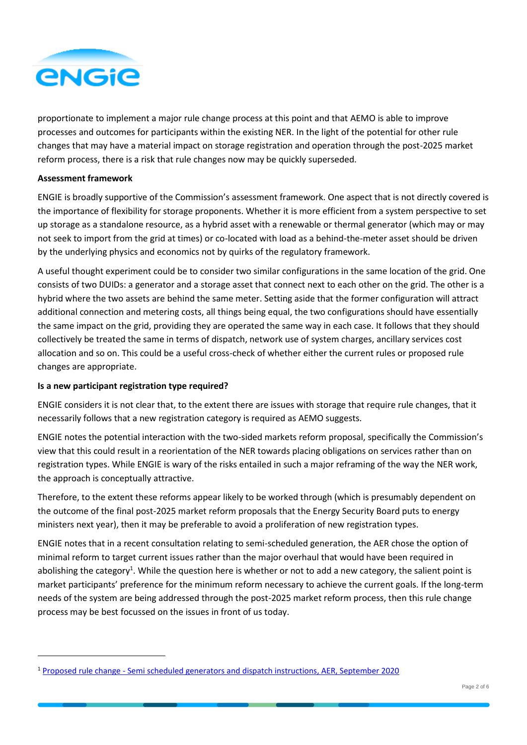

proportionate to implement a major rule change process at this point and that AEMO is able to improve processes and outcomes for participants within the existing NER. In the light of the potential for other rule changes that may have a material impact on storage registration and operation through the post-2025 market reform process, there is a risk that rule changes now may be quickly superseded.

## **Assessment framework**

ENGIE is broadly supportive of the Commission's assessment framework. One aspect that is not directly covered is the importance of flexibility for storage proponents. Whether it is more efficient from a system perspective to set up storage as a standalone resource, as a hybrid asset with a renewable or thermal generator (which may or may not seek to import from the grid at times) or co-located with load as a behind-the-meter asset should be driven by the underlying physics and economics not by quirks of the regulatory framework.

A useful thought experiment could be to consider two similar configurations in the same location of the grid. One consists of two DUIDs: a generator and a storage asset that connect next to each other on the grid. The other is a hybrid where the two assets are behind the same meter. Setting aside that the former configuration will attract additional connection and metering costs, all things being equal, the two configurations should have essentially the same impact on the grid, providing they are operated the same way in each case. It follows that they should collectively be treated the same in terms of dispatch, network use of system charges, ancillary services cost allocation and so on. This could be a useful cross-check of whether either the current rules or proposed rule changes are appropriate.

### **Is a new participant registration type required?**

ENGIE considers it is not clear that, to the extent there are issues with storage that require rule changes, that it necessarily follows that a new registration category is required as AEMO suggests.

ENGIE notes the potential interaction with the two-sided markets reform proposal, specifically the Commission's view that this could result in a reorientation of the NER towards placing obligations on services rather than on registration types. While ENGIE is wary of the risks entailed in such a major reframing of the way the NER work, the approach is conceptually attractive.

Therefore, to the extent these reforms appear likely to be worked through (which is presumably dependent on the outcome of the final post-2025 market reform proposals that the Energy Security Board puts to energy ministers next year), then it may be preferable to avoid a proliferation of new registration types.

ENGIE notes that in a recent consultation relating to semi-scheduled generation, the AER chose the option of minimal reform to target current issues rather than the major overhaul that would have been required in abolishing the category<sup>1</sup>. While the question here is whether or not to add a new category, the salient point is market participants' preference for the minimum reform necessary to achieve the current goals. If the long-term needs of the system are being addressed through the post-2025 market reform process, then this rule change process may be best focussed on the issues in front of us today.

<sup>1</sup> Proposed rule change - [Semi scheduled generators and dispatch instructions, AER, September 2020](https://www.aer.gov.au/publications/reviews/semi-scheduled-generators-proposed-rule-changes/proposal)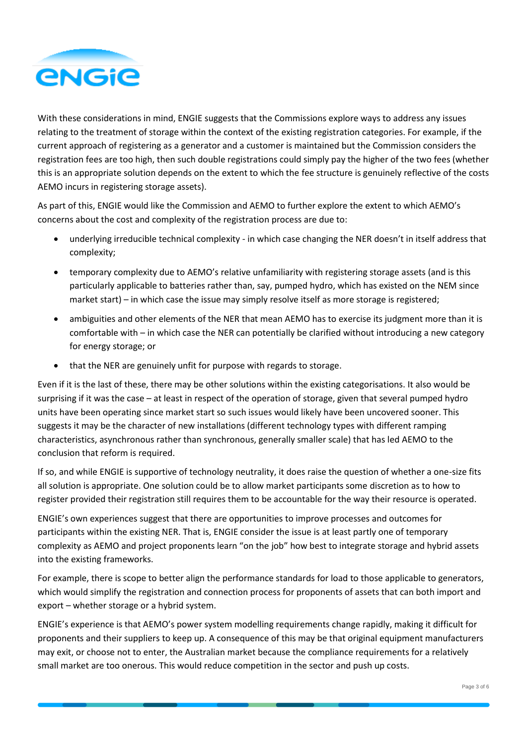

With these considerations in mind, ENGIE suggests that the Commissions explore ways to address any issues relating to the treatment of storage within the context of the existing registration categories. For example, if the current approach of registering as a generator and a customer is maintained but the Commission considers the registration fees are too high, then such double registrations could simply pay the higher of the two fees (whether this is an appropriate solution depends on the extent to which the fee structure is genuinely reflective of the costs AEMO incurs in registering storage assets).

As part of this, ENGIE would like the Commission and AEMO to further explore the extent to which AEMO's concerns about the cost and complexity of the registration process are due to:

- underlying irreducible technical complexity in which case changing the NER doesn't in itself address that complexity;
- temporary complexity due to AEMO's relative unfamiliarity with registering storage assets (and is this particularly applicable to batteries rather than, say, pumped hydro, which has existed on the NEM since market start) – in which case the issue may simply resolve itself as more storage is registered;
- ambiguities and other elements of the NER that mean AEMO has to exercise its judgment more than it is comfortable with – in which case the NER can potentially be clarified without introducing a new category for energy storage; or
- that the NER are genuinely unfit for purpose with regards to storage.

Even if it is the last of these, there may be other solutions within the existing categorisations. It also would be surprising if it was the case – at least in respect of the operation of storage, given that several pumped hydro units have been operating since market start so such issues would likely have been uncovered sooner. This suggests it may be the character of new installations (different technology types with different ramping characteristics, asynchronous rather than synchronous, generally smaller scale) that has led AEMO to the conclusion that reform is required.

If so, and while ENGIE is supportive of technology neutrality, it does raise the question of whether a one-size fits all solution is appropriate. One solution could be to allow market participants some discretion as to how to register provided their registration still requires them to be accountable for the way their resource is operated.

ENGIE's own experiences suggest that there are opportunities to improve processes and outcomes for participants within the existing NER. That is, ENGIE consider the issue is at least partly one of temporary complexity as AEMO and project proponents learn "on the job" how best to integrate storage and hybrid assets into the existing frameworks.

For example, there is scope to better align the performance standards for load to those applicable to generators, which would simplify the registration and connection process for proponents of assets that can both import and export – whether storage or a hybrid system.

ENGIE's experience is that AEMO's power system modelling requirements change rapidly, making it difficult for proponents and their suppliers to keep up. A consequence of this may be that original equipment manufacturers may exit, or choose not to enter, the Australian market because the compliance requirements for a relatively small market are too onerous. This would reduce competition in the sector and push up costs.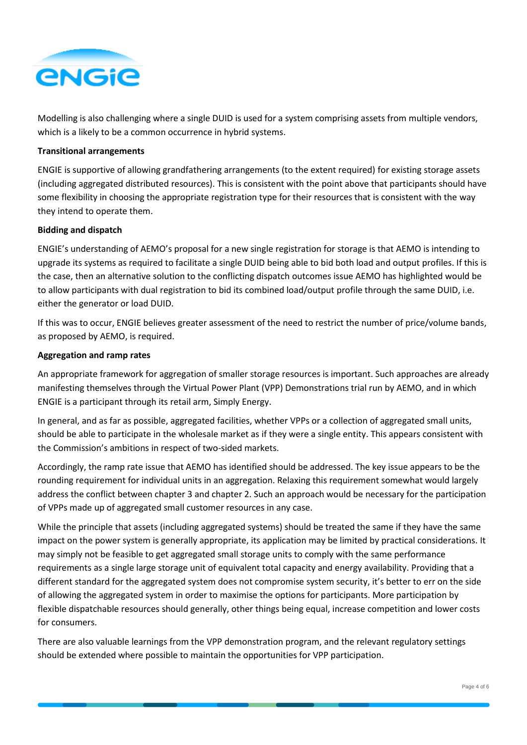

Modelling is also challenging where a single DUID is used for a system comprising assets from multiple vendors, which is a likely to be a common occurrence in hybrid systems.

### **Transitional arrangements**

ENGIE is supportive of allowing grandfathering arrangements (to the extent required) for existing storage assets (including aggregated distributed resources). This is consistent with the point above that participants should have some flexibility in choosing the appropriate registration type for their resources that is consistent with the way they intend to operate them.

#### **Bidding and dispatch**

ENGIE's understanding of AEMO's proposal for a new single registration for storage is that AEMO is intending to upgrade its systems as required to facilitate a single DUID being able to bid both load and output profiles. If this is the case, then an alternative solution to the conflicting dispatch outcomes issue AEMO has highlighted would be to allow participants with dual registration to bid its combined load/output profile through the same DUID, i.e. either the generator or load DUID.

If this was to occur, ENGIE believes greater assessment of the need to restrict the number of price/volume bands, as proposed by AEMO, is required.

### **Aggregation and ramp rates**

An appropriate framework for aggregation of smaller storage resources is important. Such approaches are already manifesting themselves through the Virtual Power Plant (VPP) Demonstrations trial run by AEMO, and in which ENGIE is a participant through its retail arm, Simply Energy.

In general, and as far as possible, aggregated facilities, whether VPPs or a collection of aggregated small units, should be able to participate in the wholesale market as if they were a single entity. This appears consistent with the Commission's ambitions in respect of two-sided markets.

Accordingly, the ramp rate issue that AEMO has identified should be addressed. The key issue appears to be the rounding requirement for individual units in an aggregation. Relaxing this requirement somewhat would largely address the conflict between chapter 3 and chapter 2. Such an approach would be necessary for the participation of VPPs made up of aggregated small customer resources in any case.

While the principle that assets (including aggregated systems) should be treated the same if they have the same impact on the power system is generally appropriate, its application may be limited by practical considerations. It may simply not be feasible to get aggregated small storage units to comply with the same performance requirements as a single large storage unit of equivalent total capacity and energy availability. Providing that a different standard for the aggregated system does not compromise system security, it's better to err on the side of allowing the aggregated system in order to maximise the options for participants. More participation by flexible dispatchable resources should generally, other things being equal, increase competition and lower costs for consumers.

There are also valuable learnings from the VPP demonstration program, and the relevant regulatory settings should be extended where possible to maintain the opportunities for VPP participation.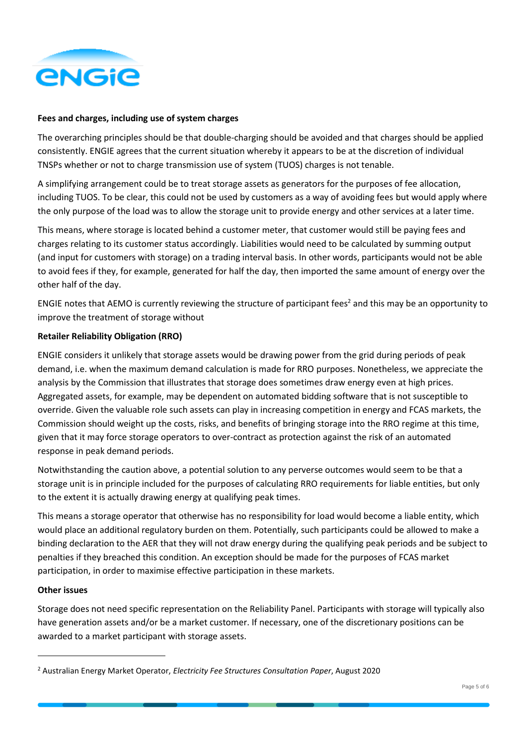

## **Fees and charges, including use of system charges**

The overarching principles should be that double-charging should be avoided and that charges should be applied consistently. ENGIE agrees that the current situation whereby it appears to be at the discretion of individual TNSPs whether or not to charge transmission use of system (TUOS) charges is not tenable.

A simplifying arrangement could be to treat storage assets as generators for the purposes of fee allocation, including TUOS. To be clear, this could not be used by customers as a way of avoiding fees but would apply where the only purpose of the load was to allow the storage unit to provide energy and other services at a later time.

This means, where storage is located behind a customer meter, that customer would still be paying fees and charges relating to its customer status accordingly. Liabilities would need to be calculated by summing output (and input for customers with storage) on a trading interval basis. In other words, participants would not be able to avoid fees if they, for example, generated for half the day, then imported the same amount of energy over the other half of the day.

ENGIE notes that AEMO is currently reviewing the structure of participant fees<sup>2</sup> and this may be an opportunity to improve the treatment of storage without

# **Retailer Reliability Obligation (RRO)**

ENGIE considers it unlikely that storage assets would be drawing power from the grid during periods of peak demand, i.e. when the maximum demand calculation is made for RRO purposes. Nonetheless, we appreciate the analysis by the Commission that illustrates that storage does sometimes draw energy even at high prices. Aggregated assets, for example, may be dependent on automated bidding software that is not susceptible to override. Given the valuable role such assets can play in increasing competition in energy and FCAS markets, the Commission should weight up the costs, risks, and benefits of bringing storage into the RRO regime at this time, given that it may force storage operators to over-contract as protection against the risk of an automated response in peak demand periods.

Notwithstanding the caution above, a potential solution to any perverse outcomes would seem to be that a storage unit is in principle included for the purposes of calculating RRO requirements for liable entities, but only to the extent it is actually drawing energy at qualifying peak times.

This means a storage operator that otherwise has no responsibility for load would become a liable entity, which would place an additional regulatory burden on them. Potentially, such participants could be allowed to make a binding declaration to the AER that they will not draw energy during the qualifying peak periods and be subject to penalties if they breached this condition. An exception should be made for the purposes of FCAS market participation, in order to maximise effective participation in these markets.

### **Other issues**

Storage does not need specific representation on the Reliability Panel. Participants with storage will typically also have generation assets and/or be a market customer. If necessary, one of the discretionary positions can be awarded to a market participant with storage assets.

<sup>2</sup> Australian Energy Market Operator, *Electricity Fee Structures Consultation Paper*, August 2020